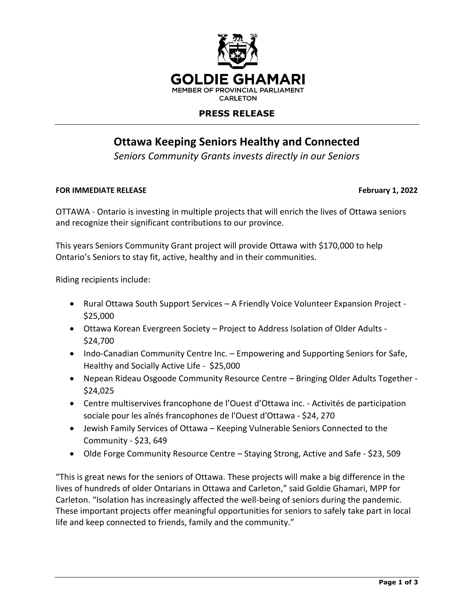

## **PRESS RELEASE**

# **Ottawa Keeping Seniors Healthy and Connected**

*Seniors Community Grants invests directly in our Seniors*

### **FOR IMMEDIATE RELEASE February 1, 2022**

OTTAWA - Ontario is investing in multiple projects that will enrich the lives of Ottawa seniors and recognize their significant contributions to our province.

This years Seniors Community Grant project will provide Ottawa with \$170,000 to help Ontario's Seniors to stay fit, active, healthy and in their communities.

Riding recipients include:

- Rural Ottawa South Support Services A Friendly Voice Volunteer Expansion Project -\$25,000
- Ottawa Korean Evergreen Society Project to Address Isolation of Older Adults \$24,700
- Indo-Canadian Community Centre Inc. Empowering and Supporting Seniors for Safe, Healthy and Socially Active Life - \$25,000
- Nepean Rideau Osgoode Community Resource Centre Bringing Older Adults Together \$24,025
- Centre multiservives francophone de l'Ouest d'Ottawa inc. Activités de participation sociale pour les aînés francophones de l'Ouest d'Ottawa - \$24, 270
- Jewish Family Services of Ottawa Keeping Vulnerable Seniors Connected to the Community - \$23, 649
- Olde Forge Community Resource Centre Staying Strong, Active and Safe \$23, 509

"This is great news for the seniors of Ottawa. These projects will make a big difference in the lives of hundreds of older Ontarians in Ottawa and Carleton," said Goldie Ghamari, MPP for Carleton. "Isolation has increasingly affected the well-being of seniors during the pandemic. These important projects offer meaningful opportunities for seniors to safely take part in local life and keep connected to friends, family and the community."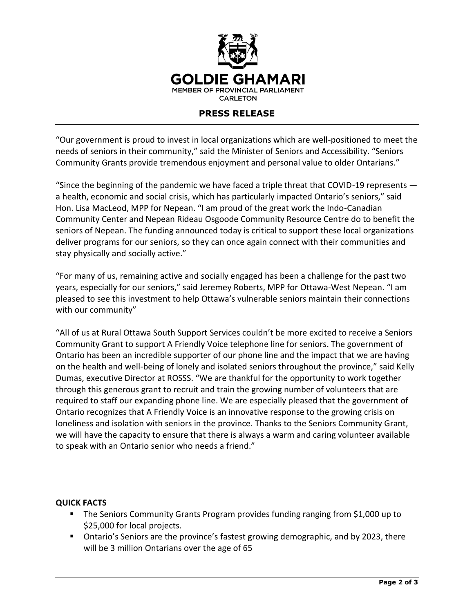

### **PRESS RELEASE**

"Our government is proud to invest in local organizations which are well-positioned to meet the needs of seniors in their community," said the Minister of Seniors and Accessibility. "Seniors Community Grants provide tremendous enjoyment and personal value to older Ontarians."

"Since the beginning of the pandemic we have faced a triple threat that COVID-19 represents a health, economic and social crisis, which has particularly impacted Ontario's seniors," said Hon. Lisa MacLeod, MPP for Nepean. "I am proud of the great work the Indo-Canadian Community Center and Nepean Rideau Osgoode Community Resource Centre do to benefit the seniors of Nepean. The funding announced today is critical to support these local organizations deliver programs for our seniors, so they can once again connect with their communities and stay physically and socially active."

"For many of us, remaining active and socially engaged has been a challenge for the past two years, especially for our seniors," said Jeremey Roberts, MPP for Ottawa-West Nepean. "I am pleased to see this investment to help Ottawa's vulnerable seniors maintain their connections with our community"

"All of us at Rural Ottawa South Support Services couldn't be more excited to receive a Seniors Community Grant to support A Friendly Voice telephone line for seniors. The government of Ontario has been an incredible supporter of our phone line and the impact that we are having on the health and well-being of lonely and isolated seniors throughout the province," said Kelly Dumas, executive Director at ROSSS. "We are thankful for the opportunity to work together through this generous grant to recruit and train the growing number of volunteers that are required to staff our expanding phone line. We are especially pleased that the government of Ontario recognizes that A Friendly Voice is an innovative response to the growing crisis on loneliness and isolation with seniors in the province. Thanks to the Seniors Community Grant, we will have the capacity to ensure that there is always a warm and caring volunteer available to speak with an Ontario senior who needs a friend."

### **QUICK FACTS**

- The Seniors Community Grants Program provides funding ranging from \$1,000 up to \$25,000 for local projects.
- Ontario's Seniors are the province's fastest growing demographic, and by 2023, there will be 3 million Ontarians over the age of 65